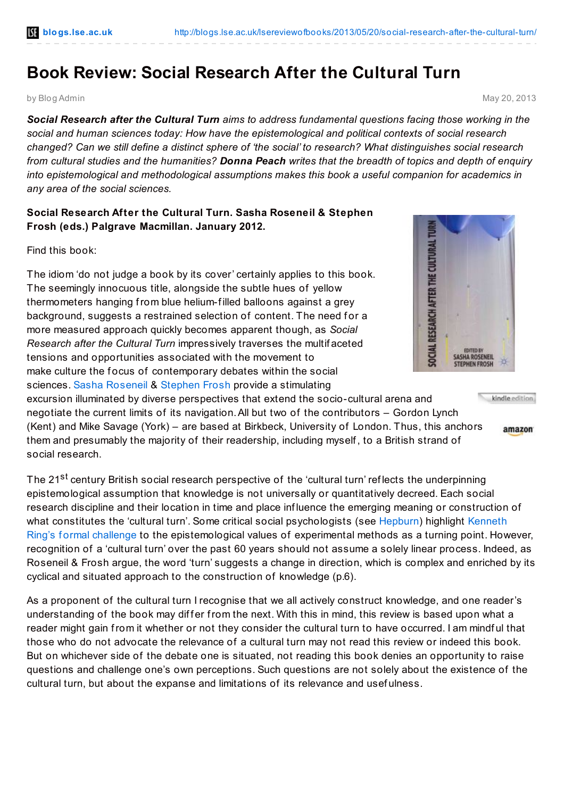## **Book Review: Social Research After the Cultural Turn**

by Blog Admin May 20, 2013

*Social Research after the Cultural Turn aims to address fundamental questions facing those working in the social and human sciences today: How have the epistemological and political contexts of social research* changed? Can we still define a distinct sphere of 'the social' to research? What distinguishes social research from cultural studies and the humanities? Donna Peach writes that the breadth of topics and depth of enguiry *into epistemological and methodological assumptions makes this book a useful companion for academics in any area of the social sciences.*

## **Social Research After the Cultural Turn. Sasha Roseneil & Stephen Frosh (eds.) Palgrave Macmillan. January 2012.**

Find this book:

The idiom 'do not judge a book by its cover' certainly applies to this book. The seemingly innocuous title, alongside the subtle hues of yellow thermometers hanging from blue helium-f illed balloons against a grey background, suggests a restrained selection of content. The need for a more measured approach quickly becomes apparent though, as *Social Research after the Cultural Turn* impressively traverses the multif aceted tensions and opportunities associated with the movement to make culture the focus of contemporary debates within the social sciences. Sasha [Roseneil](http://www.bbk.ac.uk/psychosocial/our-staff/full-time-academic-staff/sasha-roseneil) & [Stephen](http://www.bbk.ac.uk/psychosocial/our-staff/full-time-academic-staff/stephen-frosh) Frosh provide a stimulating

excursion illuminated by diverse perspectives that extend the socio-cultural arena and negotiate the current limits of its navigation.All but two of the contributors – Gordon Lynch (Kent) and Mike Savage (York) – are based at Birkbeck, University of London. Thus, this anchors them and presumably the majority of their readership, including myself , to a British strand of social research.

The 21<sup>st</sup> century British social research perspective of the 'cultural turn' reflects the underpinning epistemological assumption that knowledge is not universally or quantitatively decreed. Each social research discipline and their location in time and place inf luence the emerging meaning or construction of what constitutes the 'cultural turn'. Some critical social [psychologists](http://www.sciencedirect.com/science/article/pii/0022103167900169) (see [Hepburn](http://www.amazon.co.uk/gp/product/0761962107/ref=as_li_qf_sp_asin_il_tl?ie=UTF8&camp=1634&creative=6738&creativeASIN=0761962107&linkCode=as2&tag=lsreofbo-21)) highlight Kenneth Ring's formal challenge to the epistemological values of experimental methods as a turning point. However, recognition of a 'cultural turn' over the past 60 years should not assume a solely linear process. Indeed, as Roseneil & Frosh argue, the word 'turn' suggests a change in direction, which is complex and enriched by its cyclical and situated approach to the construction of knowledge (p.6).

As a proponent of the cultural turn I recognise that we all actively construct knowledge, and one reader's understanding of the book may differ from the next. With this in mind, this review is based upon what a reader might gain from it whether or not they consider the cultural turn to have occurred. I am mindf ul that those who do not advocate the relevance of a cultural turn may not read this review or indeed this book. But on whichever side of the debate one is situated, not reading this book denies an opportunity to raise questions and challenge one's own perceptions. Such questions are not solely about the existence of the cultural turn, but about the expanse and limitations of its relevance and usef ulness.



kindle edition

amazon